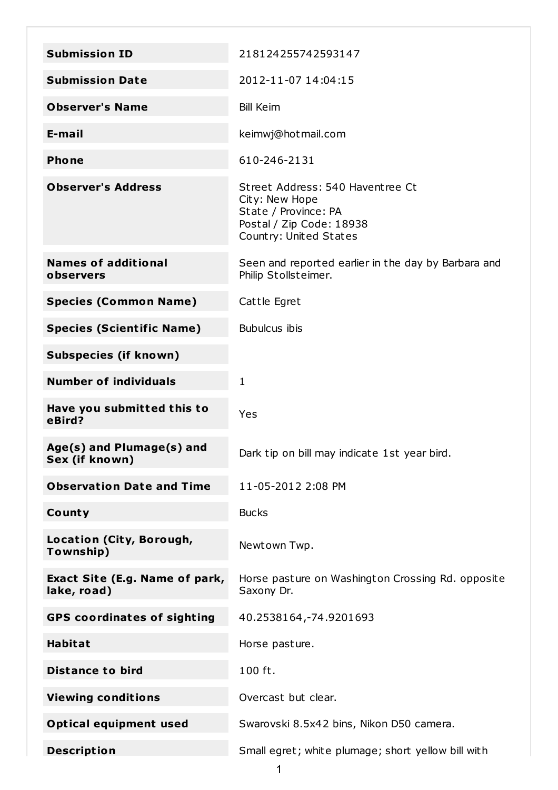| <b>Submission ID</b>                          | 218124255742593147                                                                                                               |
|-----------------------------------------------|----------------------------------------------------------------------------------------------------------------------------------|
| <b>Submission Date</b>                        | 2012-11-07 14:04:15                                                                                                              |
| <b>Observer's Name</b>                        | <b>Bill Keim</b>                                                                                                                 |
| E-mail                                        | keimwj@hotmail.com                                                                                                               |
| <b>Phone</b>                                  | 610-246-2131                                                                                                                     |
| <b>Observer's Address</b>                     | Street Address: 540 Haventree Ct<br>City: New Hope<br>State / Province: PA<br>Postal / Zip Code: 18938<br>Country: United States |
| <b>Names of additional</b><br>observers       | Seen and reported earlier in the day by Barbara and<br>Philip Stollsteimer.                                                      |
| <b>Species (Common Name)</b>                  | Cattle Egret                                                                                                                     |
| <b>Species (Scientific Name)</b>              | <b>Bubulcus ibis</b>                                                                                                             |
| <b>Subspecies (if known)</b>                  |                                                                                                                                  |
| <b>Number of individuals</b>                  | 1                                                                                                                                |
| Have you submitted this to<br>eBird?          | Yes                                                                                                                              |
| Age(s) and Plumage(s) and<br>Sex (if known)   | Dark tip on bill may indicate 1st year bird.                                                                                     |
| <b>Observation Date and Time</b>              | 11-05-2012 2:08 PM                                                                                                               |
| County                                        | <b>Bucks</b>                                                                                                                     |
| Location (City, Borough,<br>Township)         | Newtown Twp.                                                                                                                     |
| Exact Site (E.g. Name of park,<br>lake, road) | Horse pasture on Washington Crossing Rd. opposite<br>Saxony Dr.                                                                  |
| <b>GPS coordinates of sighting</b>            | 40.2538164, - 74.9201693                                                                                                         |
| <b>Habitat</b>                                | Horse pasture.                                                                                                                   |
| <b>Distance to bird</b>                       | 100 ft.                                                                                                                          |
| <b>Viewing conditions</b>                     | Overcast but clear.                                                                                                              |
| <b>Optical equipment used</b>                 | Swarovski 8.5x42 bins, Nikon D50 camera.                                                                                         |
| <b>Description</b>                            | Small egret; white plumage; short yellow bill with                                                                               |